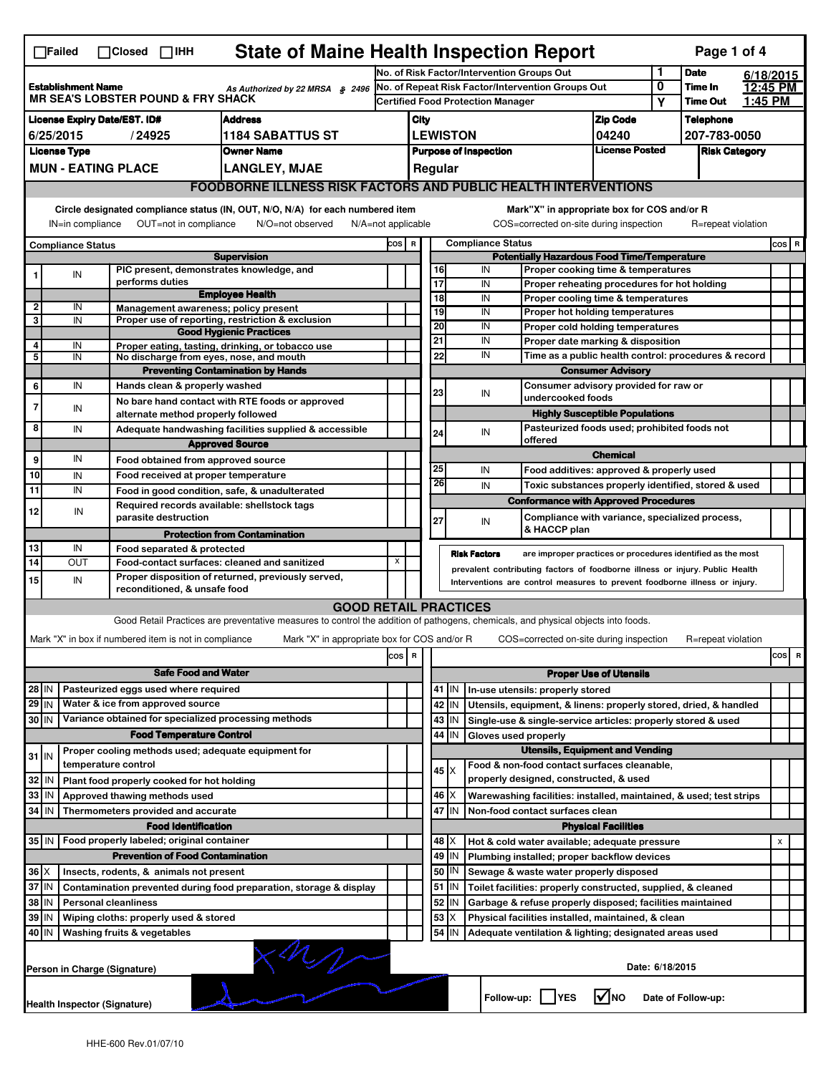| <b>State of Maine Health Inspection Report</b><br>Page 1 of 4<br>$\Box$ Failed<br>$\Box$ Closed $\Box$ IHH                                                                                                                                                                                |                                                                                            |                                                                                                                                                                  |                                                                                      |                                                                                                                                   |       |                                                                                               |                                                                                  |                 |                          |                                                                                       |                                       |                      |                            |                |       |   |
|-------------------------------------------------------------------------------------------------------------------------------------------------------------------------------------------------------------------------------------------------------------------------------------------|--------------------------------------------------------------------------------------------|------------------------------------------------------------------------------------------------------------------------------------------------------------------|--------------------------------------------------------------------------------------|-----------------------------------------------------------------------------------------------------------------------------------|-------|-----------------------------------------------------------------------------------------------|----------------------------------------------------------------------------------|-----------------|--------------------------|---------------------------------------------------------------------------------------|---------------------------------------|----------------------|----------------------------|----------------|-------|---|
|                                                                                                                                                                                                                                                                                           |                                                                                            |                                                                                                                                                                  |                                                                                      |                                                                                                                                   |       | No. of Risk Factor/Intervention Groups Out                                                    |                                                                                  |                 |                          |                                                                                       |                                       | 1                    | <b>Date</b>                | 6/18/2015      |       |   |
| <b>Establishment Name</b><br>As Authorized by 22 MRSA § 2496<br><b>MR SEA'S LOBSTER POUND &amp; FRY SHACK</b>                                                                                                                                                                             |                                                                                            |                                                                                                                                                                  |                                                                                      |                                                                                                                                   |       | No. of Repeat Risk Factor/Intervention Groups Out<br><b>Certified Food Protection Manager</b> |                                                                                  |                 |                          |                                                                                       |                                       | 0                    | Time In<br><b>Time Out</b> | 12:45 PM       |       |   |
|                                                                                                                                                                                                                                                                                           |                                                                                            |                                                                                                                                                                  |                                                                                      |                                                                                                                                   |       |                                                                                               |                                                                                  |                 |                          |                                                                                       |                                       | Υ                    |                            | <u>1:45 PM</u> |       |   |
| <b>License Expiry Date/EST. ID#</b><br><b>Address</b>                                                                                                                                                                                                                                     |                                                                                            |                                                                                                                                                                  |                                                                                      |                                                                                                                                   |       | City                                                                                          |                                                                                  |                 |                          |                                                                                       | <b>Zip Code</b>                       |                      | <b>Telephone</b>           |                |       |   |
| 6/25/2015<br>/24925<br>1184 SABATTUS ST                                                                                                                                                                                                                                                   |                                                                                            |                                                                                                                                                                  |                                                                                      |                                                                                                                                   |       |                                                                                               |                                                                                  | <b>LEWISTON</b> |                          |                                                                                       | 04240                                 |                      | 207-783-0050               |                |       |   |
| <b>License Type</b><br><b>Owner Name</b>                                                                                                                                                                                                                                                  |                                                                                            |                                                                                                                                                                  |                                                                                      |                                                                                                                                   |       | <b>License Posted</b><br><b>Purpose of Inspection</b><br>Regular                              |                                                                                  |                 |                          |                                                                                       |                                       | <b>Risk Category</b> |                            |                |       |   |
|                                                                                                                                                                                                                                                                                           | <b>MUN - EATING PLACE</b><br><b>LANGLEY, MJAE</b>                                          |                                                                                                                                                                  |                                                                                      |                                                                                                                                   |       |                                                                                               |                                                                                  |                 |                          |                                                                                       |                                       |                      |                            |                |       |   |
| <b>FOODBORNE ILLNESS RISK FACTORS AND PUBLIC HEALTH INTERVENTIONS</b>                                                                                                                                                                                                                     |                                                                                            |                                                                                                                                                                  |                                                                                      |                                                                                                                                   |       |                                                                                               |                                                                                  |                 |                          |                                                                                       |                                       |                      |                            |                |       |   |
| Circle designated compliance status (IN, OUT, N/O, N/A) for each numbered item<br>Mark"X" in appropriate box for COS and/or R<br>IN=in compliance<br>OUT=not in compliance<br>COS=corrected on-site during inspection<br>R=repeat violation<br>N/O=not observed<br>$N/A = not$ applicable |                                                                                            |                                                                                                                                                                  |                                                                                      |                                                                                                                                   |       |                                                                                               |                                                                                  |                 |                          |                                                                                       |                                       |                      |                            |                |       |   |
|                                                                                                                                                                                                                                                                                           |                                                                                            |                                                                                                                                                                  |                                                                                      |                                                                                                                                   |       | COS R                                                                                         |                                                                                  |                 | <b>Compliance Status</b> |                                                                                       |                                       |                      |                            |                | COS R |   |
| <b>Compliance Status</b><br><b>Supervision</b>                                                                                                                                                                                                                                            |                                                                                            |                                                                                                                                                                  |                                                                                      |                                                                                                                                   |       |                                                                                               | <b>Potentially Hazardous Food Time/Temperature</b>                               |                 |                          |                                                                                       |                                       |                      |                            |                |       |   |
|                                                                                                                                                                                                                                                                                           | IN                                                                                         |                                                                                                                                                                  | PIC present, demonstrates knowledge, and                                             |                                                                                                                                   |       |                                                                                               | 16                                                                               |                 | IN                       | Proper cooking time & temperatures                                                    |                                       |                      |                            |                |       |   |
|                                                                                                                                                                                                                                                                                           |                                                                                            |                                                                                                                                                                  | performs duties                                                                      | <b>Employee Health</b>                                                                                                            |       |                                                                                               | $\overline{17}$                                                                  |                 | IN                       | Proper reheating procedures for hot holding                                           |                                       |                      |                            |                |       |   |
| $\mathbf{2}$                                                                                                                                                                                                                                                                              | IN                                                                                         |                                                                                                                                                                  | Management awareness; policy present                                                 |                                                                                                                                   |       |                                                                                               | 18<br>19                                                                         |                 | IN<br>IN                 | Proper cooling time & temperatures<br>Proper hot holding temperatures                 |                                       |                      |                            |                |       |   |
| 3                                                                                                                                                                                                                                                                                         | IN                                                                                         |                                                                                                                                                                  |                                                                                      | Proper use of reporting, restriction & exclusion                                                                                  |       |                                                                                               | 20                                                                               |                 | IN                       |                                                                                       |                                       |                      |                            |                |       |   |
|                                                                                                                                                                                                                                                                                           |                                                                                            |                                                                                                                                                                  |                                                                                      | <b>Good Hygienic Practices</b>                                                                                                    |       |                                                                                               | 21                                                                               |                 | IN                       | Proper cold holding temperatures<br>Proper date marking & disposition                 |                                       |                      |                            |                |       |   |
| 4<br>5                                                                                                                                                                                                                                                                                    | IN<br>IN                                                                                   |                                                                                                                                                                  | No discharge from eyes, nose, and mouth                                              | Proper eating, tasting, drinking, or tobacco use                                                                                  |       |                                                                                               | 22                                                                               |                 | IN                       |                                                                                       |                                       |                      |                            |                |       |   |
|                                                                                                                                                                                                                                                                                           |                                                                                            |                                                                                                                                                                  |                                                                                      | <b>Preventing Contamination by Hands</b>                                                                                          |       |                                                                                               | Time as a public health control: procedures & record<br><b>Consumer Advisory</b> |                 |                          |                                                                                       |                                       |                      |                            |                |       |   |
| 6                                                                                                                                                                                                                                                                                         | IN                                                                                         |                                                                                                                                                                  | Hands clean & properly washed                                                        |                                                                                                                                   |       |                                                                                               |                                                                                  |                 |                          |                                                                                       |                                       |                      |                            |                |       |   |
|                                                                                                                                                                                                                                                                                           |                                                                                            |                                                                                                                                                                  |                                                                                      | No bare hand contact with RTE foods or approved                                                                                   |       |                                                                                               | 23                                                                               |                 | IN                       | Consumer advisory provided for raw or<br>undercooked foods                            |                                       |                      |                            |                |       |   |
| 7                                                                                                                                                                                                                                                                                         | IN                                                                                         |                                                                                                                                                                  | alternate method properly followed                                                   |                                                                                                                                   |       |                                                                                               |                                                                                  |                 |                          |                                                                                       | <b>Highly Susceptible Populations</b> |                      |                            |                |       |   |
| 8                                                                                                                                                                                                                                                                                         | IN                                                                                         |                                                                                                                                                                  |                                                                                      | Adequate handwashing facilities supplied & accessible                                                                             |       |                                                                                               | 24                                                                               |                 | IN                       | Pasteurized foods used; prohibited foods not                                          |                                       |                      |                            |                |       |   |
|                                                                                                                                                                                                                                                                                           |                                                                                            |                                                                                                                                                                  |                                                                                      | <b>Approved Source</b>                                                                                                            |       |                                                                                               |                                                                                  |                 |                          | offered                                                                               |                                       |                      |                            |                |       |   |
| 9                                                                                                                                                                                                                                                                                         | IN                                                                                         |                                                                                                                                                                  | Food obtained from approved source                                                   |                                                                                                                                   |       |                                                                                               |                                                                                  |                 |                          |                                                                                       | <b>Chemical</b>                       |                      |                            |                |       |   |
| 10                                                                                                                                                                                                                                                                                        | IN                                                                                         |                                                                                                                                                                  | Food received at proper temperature                                                  |                                                                                                                                   |       |                                                                                               | 25                                                                               |                 | IN                       | Food additives: approved & properly used                                              |                                       |                      |                            |                |       |   |
| 11                                                                                                                                                                                                                                                                                        | IN                                                                                         |                                                                                                                                                                  | Food in good condition, safe, & unadulterated                                        |                                                                                                                                   |       |                                                                                               | 26                                                                               |                 | IN                       | Toxic substances properly identified, stored & used                                   |                                       |                      |                            |                |       |   |
|                                                                                                                                                                                                                                                                                           |                                                                                            |                                                                                                                                                                  | Required records available: shellstock tags                                          |                                                                                                                                   |       |                                                                                               |                                                                                  |                 |                          | <b>Conformance with Approved Procedures</b>                                           |                                       |                      |                            |                |       |   |
| 12                                                                                                                                                                                                                                                                                        | IN                                                                                         |                                                                                                                                                                  | parasite destruction                                                                 |                                                                                                                                   |       |                                                                                               | 27                                                                               |                 | IN                       | Compliance with variance, specialized process,                                        |                                       |                      |                            |                |       |   |
|                                                                                                                                                                                                                                                                                           |                                                                                            |                                                                                                                                                                  |                                                                                      | <b>Protection from Contamination</b>                                                                                              |       |                                                                                               |                                                                                  |                 |                          | & HACCP plan                                                                          |                                       |                      |                            |                |       |   |
| 13                                                                                                                                                                                                                                                                                        | IN                                                                                         |                                                                                                                                                                  | Food separated & protected                                                           |                                                                                                                                   |       |                                                                                               |                                                                                  |                 | <b>Risk Factors</b>      | are improper practices or procedures identified as the most                           |                                       |                      |                            |                |       |   |
| 14                                                                                                                                                                                                                                                                                        | OUT                                                                                        |                                                                                                                                                                  | Food-contact surfaces: cleaned and sanitized                                         |                                                                                                                                   | x     |                                                                                               |                                                                                  |                 |                          | prevalent contributing factors of foodborne illness or injury. Public Health          |                                       |                      |                            |                |       |   |
| 15                                                                                                                                                                                                                                                                                        | IN                                                                                         | Proper disposition of returned, previously served,<br>Interventions are control measures to prevent foodborne illness or injury.<br>reconditioned, & unsafe food |                                                                                      |                                                                                                                                   |       |                                                                                               |                                                                                  |                 |                          |                                                                                       |                                       |                      |                            |                |       |   |
|                                                                                                                                                                                                                                                                                           |                                                                                            |                                                                                                                                                                  |                                                                                      | <b>GOOD RETAIL PRACTICES</b>                                                                                                      |       |                                                                                               |                                                                                  |                 |                          |                                                                                       |                                       |                      |                            |                |       |   |
|                                                                                                                                                                                                                                                                                           |                                                                                            |                                                                                                                                                                  |                                                                                      | Good Retail Practices are preventative measures to control the addition of pathogens, chemicals, and physical objects into foods. |       |                                                                                               |                                                                                  |                 |                          |                                                                                       |                                       |                      |                            |                |       |   |
|                                                                                                                                                                                                                                                                                           |                                                                                            |                                                                                                                                                                  | Mark "X" in box if numbered item is not in compliance                                | Mark "X" in appropriate box for COS and/or R                                                                                      |       |                                                                                               |                                                                                  |                 |                          | COS=corrected on-site during inspection                                               |                                       |                      | R=repeat violation         |                |       |   |
|                                                                                                                                                                                                                                                                                           |                                                                                            |                                                                                                                                                                  |                                                                                      |                                                                                                                                   | cos R |                                                                                               |                                                                                  |                 |                          |                                                                                       |                                       |                      |                            |                |       |   |
|                                                                                                                                                                                                                                                                                           |                                                                                            |                                                                                                                                                                  |                                                                                      |                                                                                                                                   |       |                                                                                               |                                                                                  |                 |                          |                                                                                       |                                       |                      |                            |                | cos   | R |
| <b>Safe Food and Water</b>                                                                                                                                                                                                                                                                |                                                                                            |                                                                                                                                                                  |                                                                                      |                                                                                                                                   |       |                                                                                               |                                                                                  |                 |                          |                                                                                       | <b>Proper Use of Utensils</b>         |                      |                            |                |       |   |
| $28$ IN                                                                                                                                                                                                                                                                                   |                                                                                            |                                                                                                                                                                  | Pasteurized eggs used where required                                                 |                                                                                                                                   |       |                                                                                               |                                                                                  | 41 IN           |                          | In-use utensils: properly stored                                                      |                                       |                      |                            |                |       |   |
| $29$ IN                                                                                                                                                                                                                                                                                   |                                                                                            |                                                                                                                                                                  | Water & ice from approved source                                                     |                                                                                                                                   |       |                                                                                               |                                                                                  | 42 IN           |                          | Utensils, equipment, & linens: properly stored, dried, & handled                      |                                       |                      |                            |                |       |   |
| 30 IN                                                                                                                                                                                                                                                                                     |                                                                                            |                                                                                                                                                                  | Variance obtained for specialized processing methods                                 |                                                                                                                                   |       |                                                                                               |                                                                                  | 43 IN           |                          | Single-use & single-service articles: properly stored & used                          |                                       |                      |                            |                |       |   |
|                                                                                                                                                                                                                                                                                           |                                                                                            |                                                                                                                                                                  | <b>Food Temperature Control</b>                                                      |                                                                                                                                   |       |                                                                                               | 44                                                                               | IN              | Gloves used properly     |                                                                                       |                                       |                      |                            |                |       |   |
| $31$ IN                                                                                                                                                                                                                                                                                   |                                                                                            |                                                                                                                                                                  | Proper cooling methods used; adequate equipment for                                  |                                                                                                                                   |       |                                                                                               |                                                                                  |                 |                          | <b>Utensils, Equipment and Vending</b>                                                |                                       |                      |                            |                |       |   |
|                                                                                                                                                                                                                                                                                           |                                                                                            |                                                                                                                                                                  | temperature control                                                                  |                                                                                                                                   |       |                                                                                               | $45 \times$                                                                      |                 |                          | Food & non-food contact surfaces cleanable,<br>properly designed, constructed, & used |                                       |                      |                            |                |       |   |
| 32                                                                                                                                                                                                                                                                                        | l IN                                                                                       |                                                                                                                                                                  | Plant food properly cooked for hot holding                                           |                                                                                                                                   |       |                                                                                               |                                                                                  |                 |                          |                                                                                       |                                       |                      |                            |                |       |   |
| 33                                                                                                                                                                                                                                                                                        | IN                                                                                         |                                                                                                                                                                  | Approved thawing methods used                                                        |                                                                                                                                   |       |                                                                                               | $46$ $\times$                                                                    |                 |                          | Warewashing facilities: installed, maintained, & used; test strips                    |                                       |                      |                            |                |       |   |
| 34 IN                                                                                                                                                                                                                                                                                     |                                                                                            |                                                                                                                                                                  | Thermometers provided and accurate                                                   |                                                                                                                                   |       |                                                                                               |                                                                                  | 47 IN           |                          | Non-food contact surfaces clean                                                       |                                       |                      |                            |                |       |   |
|                                                                                                                                                                                                                                                                                           |                                                                                            |                                                                                                                                                                  | <b>Food Identification</b>                                                           |                                                                                                                                   |       | <b>Physical Facilities</b><br>48   X<br>Hot & cold water available; adequate pressure         |                                                                                  |                 |                          |                                                                                       |                                       |                      |                            |                |       |   |
| 35 IN                                                                                                                                                                                                                                                                                     |                                                                                            |                                                                                                                                                                  | Food properly labeled; original container<br><b>Prevention of Food Contamination</b> |                                                                                                                                   |       |                                                                                               | 49                                                                               |                 |                          |                                                                                       |                                       |                      |                            |                | x     |   |
|                                                                                                                                                                                                                                                                                           |                                                                                            |                                                                                                                                                                  |                                                                                      |                                                                                                                                   |       |                                                                                               |                                                                                  | IN<br>50 IN     |                          | Plumbing installed; proper backflow devices                                           |                                       |                      |                            |                |       |   |
| $36$ $\times$                                                                                                                                                                                                                                                                             |                                                                                            |                                                                                                                                                                  | Insects, rodents, & animals not present                                              |                                                                                                                                   |       |                                                                                               |                                                                                  |                 |                          | Sewage & waste water properly disposed                                                |                                       |                      |                            |                |       |   |
| 37 IN<br>38 IN                                                                                                                                                                                                                                                                            |                                                                                            |                                                                                                                                                                  |                                                                                      | Contamination prevented during food preparation, storage & display                                                                |       |                                                                                               |                                                                                  | 51 IN<br>52 IN  |                          | Toilet facilities: properly constructed, supplied, & cleaned                          |                                       |                      |                            |                |       |   |
|                                                                                                                                                                                                                                                                                           |                                                                                            |                                                                                                                                                                  | <b>Personal cleanliness</b>                                                          |                                                                                                                                   |       |                                                                                               | 53                                                                               | X               |                          | Garbage & refuse properly disposed; facilities maintained                             |                                       |                      |                            |                |       |   |
| 39 IN<br>Wiping cloths: properly used & stored                                                                                                                                                                                                                                            |                                                                                            |                                                                                                                                                                  |                                                                                      |                                                                                                                                   |       |                                                                                               |                                                                                  |                 |                          | Physical facilities installed, maintained, & clean                                    |                                       |                      |                            |                |       |   |
| 54 IN<br>40 IN<br>Washing fruits & vegetables<br>Adequate ventilation & lighting; designated areas used                                                                                                                                                                                   |                                                                                            |                                                                                                                                                                  |                                                                                      |                                                                                                                                   |       |                                                                                               |                                                                                  |                 |                          |                                                                                       |                                       |                      |                            |                |       |   |
| Date: 6/18/2015<br>Person in Charge (Signature)                                                                                                                                                                                                                                           |                                                                                            |                                                                                                                                                                  |                                                                                      |                                                                                                                                   |       |                                                                                               |                                                                                  |                 |                          |                                                                                       |                                       |                      |                            |                |       |   |
|                                                                                                                                                                                                                                                                                           | $\sqrt{\ }$ NO<br>Follow-up:     YES<br>Date of Follow-up:<br>Health Inspector (Signature) |                                                                                                                                                                  |                                                                                      |                                                                                                                                   |       |                                                                                               |                                                                                  |                 |                          |                                                                                       |                                       |                      |                            |                |       |   |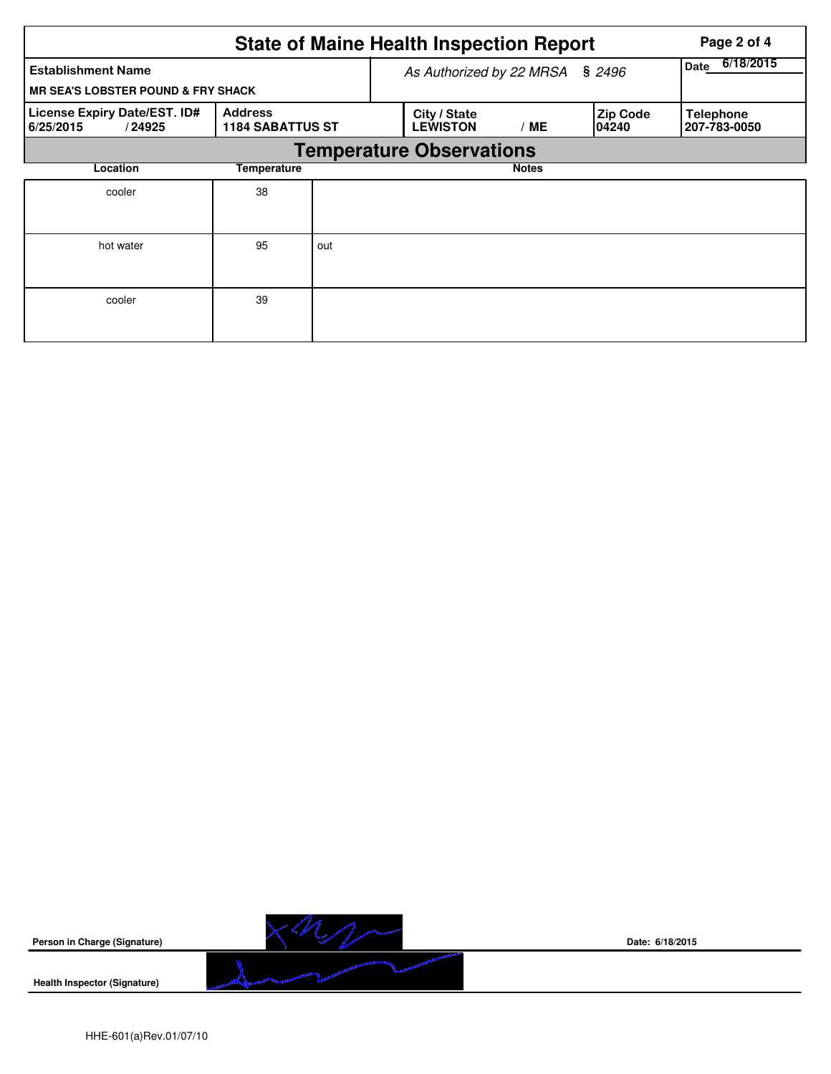|                                                                            | Page 2 of 4                               |     |                                 |                          |                          |                                  |  |  |  |  |
|----------------------------------------------------------------------------|-------------------------------------------|-----|---------------------------------|--------------------------|--------------------------|----------------------------------|--|--|--|--|
| <b>Establishment Name</b><br><b>MR SEA'S LOBSTER POUND &amp; FRY SHACK</b> |                                           |     | As Authorized by 22 MRSA § 2496 | 6/18/2015<br><b>Date</b> |                          |                                  |  |  |  |  |
| License Expiry Date/EST. ID#<br>6/25/2015<br>/24925                        | <b>Address</b><br><b>1184 SABATTUS ST</b> |     | City / State<br><b>LEWISTON</b> | / ME                     | <b>Zip Code</b><br>04240 | <b>Telephone</b><br>207-783-0050 |  |  |  |  |
| <b>Temperature Observations</b>                                            |                                           |     |                                 |                          |                          |                                  |  |  |  |  |
| Location                                                                   | Temperature                               |     |                                 | <b>Notes</b>             |                          |                                  |  |  |  |  |
| cooler                                                                     | 38                                        |     |                                 |                          |                          |                                  |  |  |  |  |
| hot water                                                                  | 95                                        | out |                                 |                          |                          |                                  |  |  |  |  |
| cooler                                                                     | 39                                        |     |                                 |                          |                          |                                  |  |  |  |  |



**Date: 6/18/2015**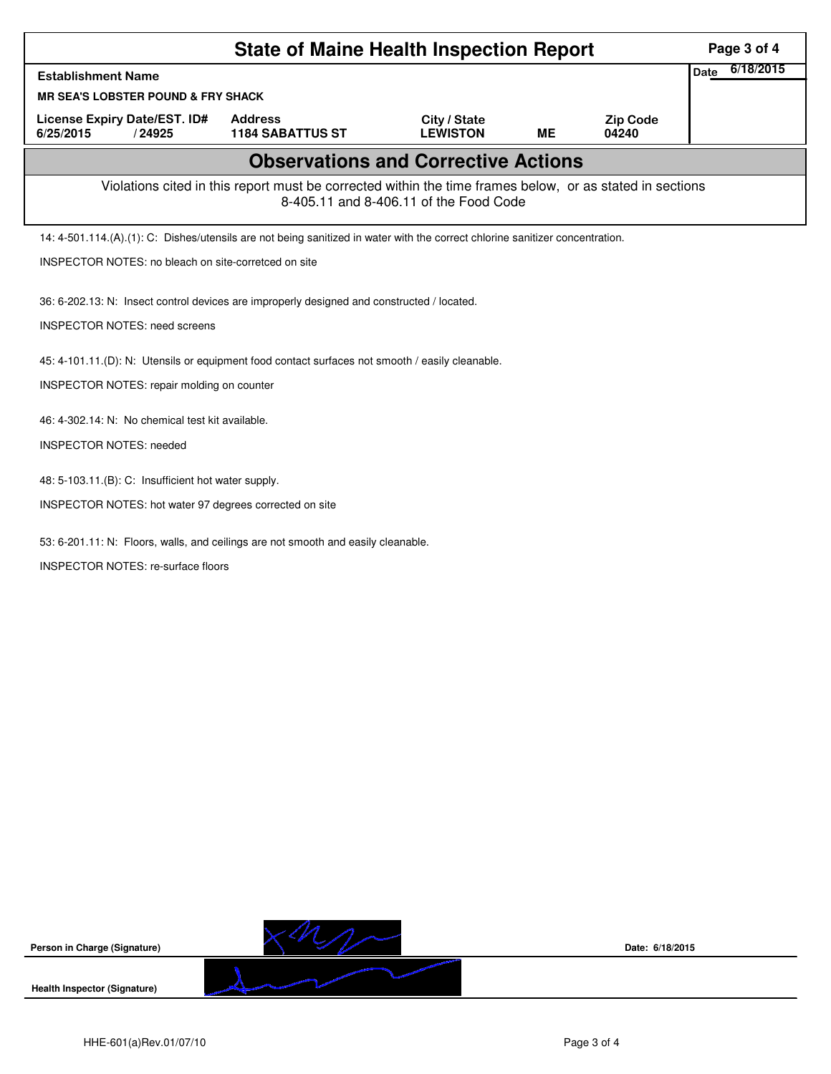| <b>State of Maine Health Inspection Report</b>                                                                                                     |                                                         |                                 |           |                          |  |  |  |  |  |
|----------------------------------------------------------------------------------------------------------------------------------------------------|---------------------------------------------------------|---------------------------------|-----------|--------------------------|--|--|--|--|--|
| <b>Establishment Name</b>                                                                                                                          |                                                         |                                 |           |                          |  |  |  |  |  |
| <b>MR SEA'S LOBSTER POUND &amp; FRY SHACK</b>                                                                                                      |                                                         |                                 |           |                          |  |  |  |  |  |
| License Expiry Date/EST. ID#<br>6/25/2015<br>/24925                                                                                                | <b>Address</b><br><b>1184 SABATTUS ST</b>               | City / State<br><b>LEWISTON</b> | <b>ME</b> | <b>Zip Code</b><br>04240 |  |  |  |  |  |
| <b>Observations and Corrective Actions</b>                                                                                                         |                                                         |                                 |           |                          |  |  |  |  |  |
| Violations cited in this report must be corrected within the time frames below, or as stated in sections<br>8-405.11 and 8-406.11 of the Food Code |                                                         |                                 |           |                          |  |  |  |  |  |
| 14: 4-501.114.(A).(1): C: Dishes/utensils are not being sanitized in water with the correct chlorine sanitizer concentration.                      |                                                         |                                 |           |                          |  |  |  |  |  |
| INSPECTOR NOTES: no bleach on site-corretced on site                                                                                               |                                                         |                                 |           |                          |  |  |  |  |  |
| 36: 6-202.13: N: Insect control devices are improperly designed and constructed / located.<br><b>INSPECTOR NOTES: need screens</b>                 |                                                         |                                 |           |                          |  |  |  |  |  |
| 45: 4-101.11.(D): N: Utensils or equipment food contact surfaces not smooth / easily cleanable.                                                    |                                                         |                                 |           |                          |  |  |  |  |  |
| INSPECTOR NOTES: repair molding on counter                                                                                                         |                                                         |                                 |           |                          |  |  |  |  |  |
| 46: 4-302.14: N: No chemical test kit available.                                                                                                   |                                                         |                                 |           |                          |  |  |  |  |  |
| <b>INSPECTOR NOTES: needed</b>                                                                                                                     |                                                         |                                 |           |                          |  |  |  |  |  |
|                                                                                                                                                    | 48: 5-103.11.(B): C: Insufficient hot water supply.     |                                 |           |                          |  |  |  |  |  |
|                                                                                                                                                    | INSPECTOR NOTES: hot water 97 degrees corrected on site |                                 |           |                          |  |  |  |  |  |
| 53: 6-201.11: N: Floors, walls, and ceilings are not smooth and easily cleanable.                                                                  |                                                         |                                 |           |                          |  |  |  |  |  |
| INSPECTOR NOTES: re-surface floors                                                                                                                 |                                                         |                                 |           |                          |  |  |  |  |  |
|                                                                                                                                                    |                                                         |                                 |           |                          |  |  |  |  |  |
|                                                                                                                                                    |                                                         |                                 |           |                          |  |  |  |  |  |
|                                                                                                                                                    |                                                         |                                 |           |                          |  |  |  |  |  |



**Date: 6/18/2015**